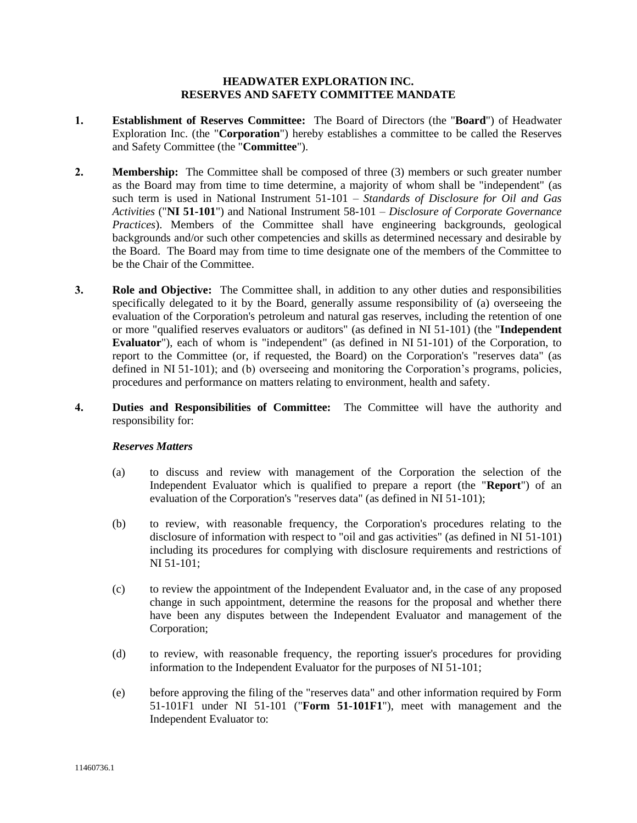## **HEADWATER EXPLORATION INC. RESERVES AND SAFETY COMMITTEE MANDATE**

- **1. Establishment of Reserves Committee:** The Board of Directors (the "**Board**") of Headwater Exploration Inc. (the "**Corporation**") hereby establishes a committee to be called the Reserves and Safety Committee (the "**Committee**").
- **2. Membership:** The Committee shall be composed of three (3) members or such greater number as the Board may from time to time determine, a majority of whom shall be "independent" (as such term is used in National Instrument 51-101 – *Standards of Disclosure for Oil and Gas Activities* ("**NI 51-101**") and National Instrument 58-101 – *Disclosure of Corporate Governance Practices*). Members of the Committee shall have engineering backgrounds, geological backgrounds and/or such other competencies and skills as determined necessary and desirable by the Board. The Board may from time to time designate one of the members of the Committee to be the Chair of the Committee.
- **3. Role and Objective:** The Committee shall, in addition to any other duties and responsibilities specifically delegated to it by the Board, generally assume responsibility of (a) overseeing the evaluation of the Corporation's petroleum and natural gas reserves, including the retention of one or more "qualified reserves evaluators or auditors" (as defined in NI 51-101) (the "**Independent Evaluator**"), each of whom is "independent" (as defined in NI 51-101) of the Corporation, to report to the Committee (or, if requested, the Board) on the Corporation's "reserves data" (as defined in NI 51-101); and (b) overseeing and monitoring the Corporation's programs, policies, procedures and performance on matters relating to environment, health and safety.
- **4. Duties and Responsibilities of Committee:** The Committee will have the authority and responsibility for:

## *Reserves Matters*

- (a) to discuss and review with management of the Corporation the selection of the Independent Evaluator which is qualified to prepare a report (the "**Report**") of an evaluation of the Corporation's "reserves data" (as defined in NI 51-101);
- (b) to review, with reasonable frequency, the Corporation's procedures relating to the disclosure of information with respect to "oil and gas activities" (as defined in NI 51-101) including its procedures for complying with disclosure requirements and restrictions of NI 51-101;
- (c) to review the appointment of the Independent Evaluator and, in the case of any proposed change in such appointment, determine the reasons for the proposal and whether there have been any disputes between the Independent Evaluator and management of the Corporation;
- (d) to review, with reasonable frequency, the reporting issuer's procedures for providing information to the Independent Evaluator for the purposes of NI 51-101;
- (e) before approving the filing of the "reserves data" and other information required by Form 51-101F1 under NI 51-101 ("**Form 51-101F1**"), meet with management and the Independent Evaluator to: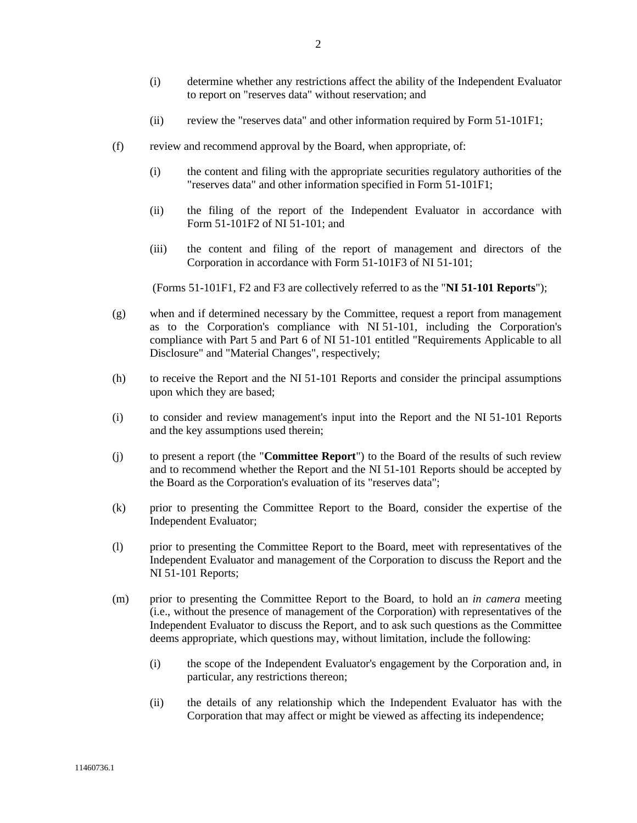- (ii) review the "reserves data" and other information required by Form 51-101F1;
- (f) review and recommend approval by the Board, when appropriate, of:
	- (i) the content and filing with the appropriate securities regulatory authorities of the "reserves data" and other information specified in Form 51-101F1;
	- (ii) the filing of the report of the Independent Evaluator in accordance with Form 51-101F2 of NI 51-101; and
	- (iii) the content and filing of the report of management and directors of the Corporation in accordance with Form 51-101F3 of NI 51-101;

(Forms 51-101F1, F2 and F3 are collectively referred to as the "**NI 51-101 Reports**");

- (g) when and if determined necessary by the Committee, request a report from management as to the Corporation's compliance with NI 51-101, including the Corporation's compliance with Part 5 and Part 6 of NI 51-101 entitled "Requirements Applicable to all Disclosure" and "Material Changes", respectively;
- (h) to receive the Report and the NI 51-101 Reports and consider the principal assumptions upon which they are based;
- (i) to consider and review management's input into the Report and the NI 51-101 Reports and the key assumptions used therein;
- (j) to present a report (the "**Committee Report**") to the Board of the results of such review and to recommend whether the Report and the NI 51-101 Reports should be accepted by the Board as the Corporation's evaluation of its "reserves data";
- (k) prior to presenting the Committee Report to the Board, consider the expertise of the Independent Evaluator;
- (l) prior to presenting the Committee Report to the Board, meet with representatives of the Independent Evaluator and management of the Corporation to discuss the Report and the NI 51-101 Reports;
- (m) prior to presenting the Committee Report to the Board, to hold an *in camera* meeting (i.e., without the presence of management of the Corporation) with representatives of the Independent Evaluator to discuss the Report, and to ask such questions as the Committee deems appropriate, which questions may, without limitation, include the following:
	- (i) the scope of the Independent Evaluator's engagement by the Corporation and, in particular, any restrictions thereon;
	- (ii) the details of any relationship which the Independent Evaluator has with the Corporation that may affect or might be viewed as affecting its independence;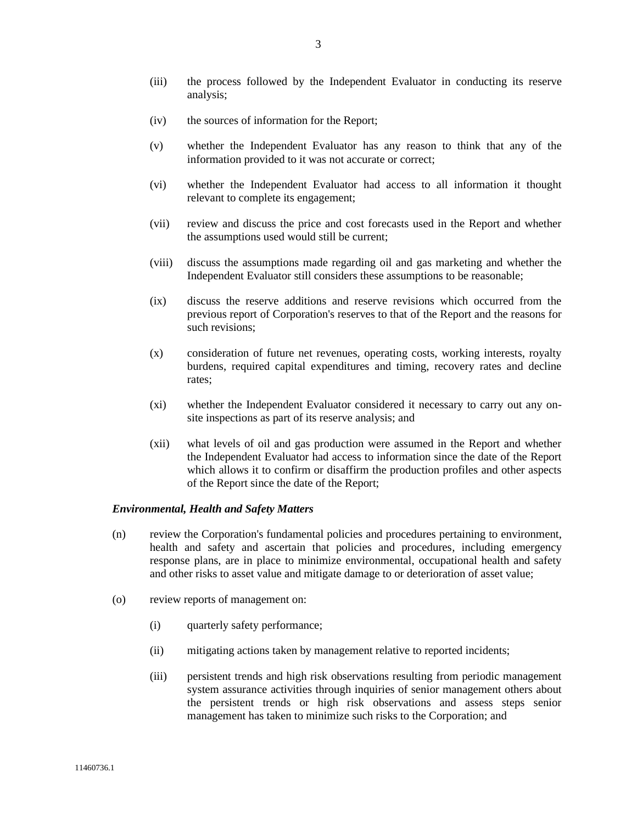- (iii) the process followed by the Independent Evaluator in conducting its reserve analysis;
- (iv) the sources of information for the Report;
- (v) whether the Independent Evaluator has any reason to think that any of the information provided to it was not accurate or correct;
- (vi) whether the Independent Evaluator had access to all information it thought relevant to complete its engagement;
- (vii) review and discuss the price and cost forecasts used in the Report and whether the assumptions used would still be current;
- (viii) discuss the assumptions made regarding oil and gas marketing and whether the Independent Evaluator still considers these assumptions to be reasonable;
- (ix) discuss the reserve additions and reserve revisions which occurred from the previous report of Corporation's reserves to that of the Report and the reasons for such revisions;
- (x) consideration of future net revenues, operating costs, working interests, royalty burdens, required capital expenditures and timing, recovery rates and decline rates;
- (xi) whether the Independent Evaluator considered it necessary to carry out any onsite inspections as part of its reserve analysis; and
- (xii) what levels of oil and gas production were assumed in the Report and whether the Independent Evaluator had access to information since the date of the Report which allows it to confirm or disaffirm the production profiles and other aspects of the Report since the date of the Report;

## *Environmental, Health and Safety Matters*

- (n) review the Corporation's fundamental policies and procedures pertaining to environment, health and safety and ascertain that policies and procedures, including emergency response plans, are in place to minimize environmental, occupational health and safety and other risks to asset value and mitigate damage to or deterioration of asset value;
- (o) review reports of management on:
	- (i) quarterly safety performance;
	- (ii) mitigating actions taken by management relative to reported incidents;
	- (iii) persistent trends and high risk observations resulting from periodic management system assurance activities through inquiries of senior management others about the persistent trends or high risk observations and assess steps senior management has taken to minimize such risks to the Corporation; and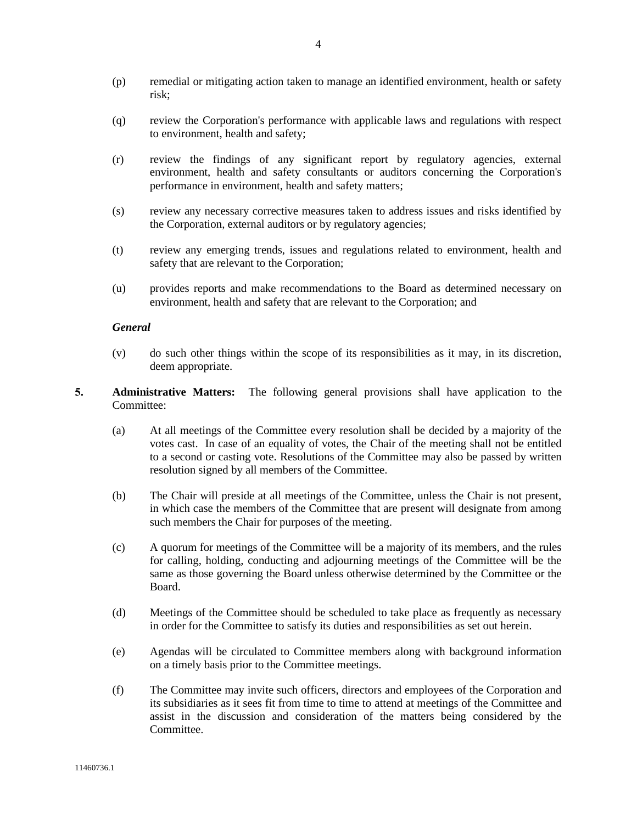- (p) remedial or mitigating action taken to manage an identified environment, health or safety risk;
- (q) review the Corporation's performance with applicable laws and regulations with respect to environment, health and safety;
- (r) review the findings of any significant report by regulatory agencies, external environment, health and safety consultants or auditors concerning the Corporation's performance in environment, health and safety matters;
- (s) review any necessary corrective measures taken to address issues and risks identified by the Corporation, external auditors or by regulatory agencies;
- (t) review any emerging trends, issues and regulations related to environment, health and safety that are relevant to the Corporation;
- (u) provides reports and make recommendations to the Board as determined necessary on environment, health and safety that are relevant to the Corporation; and

## *General*

- (v) do such other things within the scope of its responsibilities as it may, in its discretion, deem appropriate.
- **5. Administrative Matters:** The following general provisions shall have application to the Committee:
	- (a) At all meetings of the Committee every resolution shall be decided by a majority of the votes cast. In case of an equality of votes, the Chair of the meeting shall not be entitled to a second or casting vote. Resolutions of the Committee may also be passed by written resolution signed by all members of the Committee.
	- (b) The Chair will preside at all meetings of the Committee, unless the Chair is not present, in which case the members of the Committee that are present will designate from among such members the Chair for purposes of the meeting.
	- (c) A quorum for meetings of the Committee will be a majority of its members, and the rules for calling, holding, conducting and adjourning meetings of the Committee will be the same as those governing the Board unless otherwise determined by the Committee or the Board.
	- (d) Meetings of the Committee should be scheduled to take place as frequently as necessary in order for the Committee to satisfy its duties and responsibilities as set out herein.
	- (e) Agendas will be circulated to Committee members along with background information on a timely basis prior to the Committee meetings.
	- (f) The Committee may invite such officers, directors and employees of the Corporation and its subsidiaries as it sees fit from time to time to attend at meetings of the Committee and assist in the discussion and consideration of the matters being considered by the Committee.